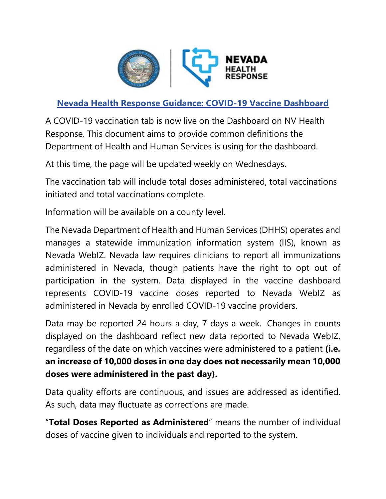

## **Nevada Health Response Guidance: COVID-19 Vaccine Dashboard**

A COVID-19 vaccination tab is now live on the Dashboard on NV Health Response. This document aims to provide common definitions the Department of Health and Human Services is using for the dashboard.

At this time, the page will be updated weekly on Wednesdays.

The vaccination tab will include total doses administered, total vaccinations initiated and total vaccinations complete.

Information will be available on a county level.

The Nevada Department of Health and Human Services (DHHS) operates and manages a statewide immunization information system (IIS), known as Nevada WebIZ. Nevada law requires clinicians to report all immunizations administered in Nevada, though patients have the right to opt out of participation in the system. Data displayed in the vaccine dashboard represents COVID-19 vaccine doses reported to Nevada WebIZ as administered in Nevada by enrolled COVID-19 vaccine providers.

Data may be reported 24 hours a day, 7 days a week. Changes in counts displayed on the dashboard reflect new data reported to Nevada WebIZ, regardless of the date on which vaccines were administered to a patient **(i.e. an increase of 10,000 doses in one day does not necessarily mean 10,000 doses were administered in the past day).**

Data quality efforts are continuous, and issues are addressed as identified. As such, data may fluctuate as corrections are made.

"**Total Doses Reported as Administered**" means the number of individual doses of vaccine given to individuals and reported to the system.